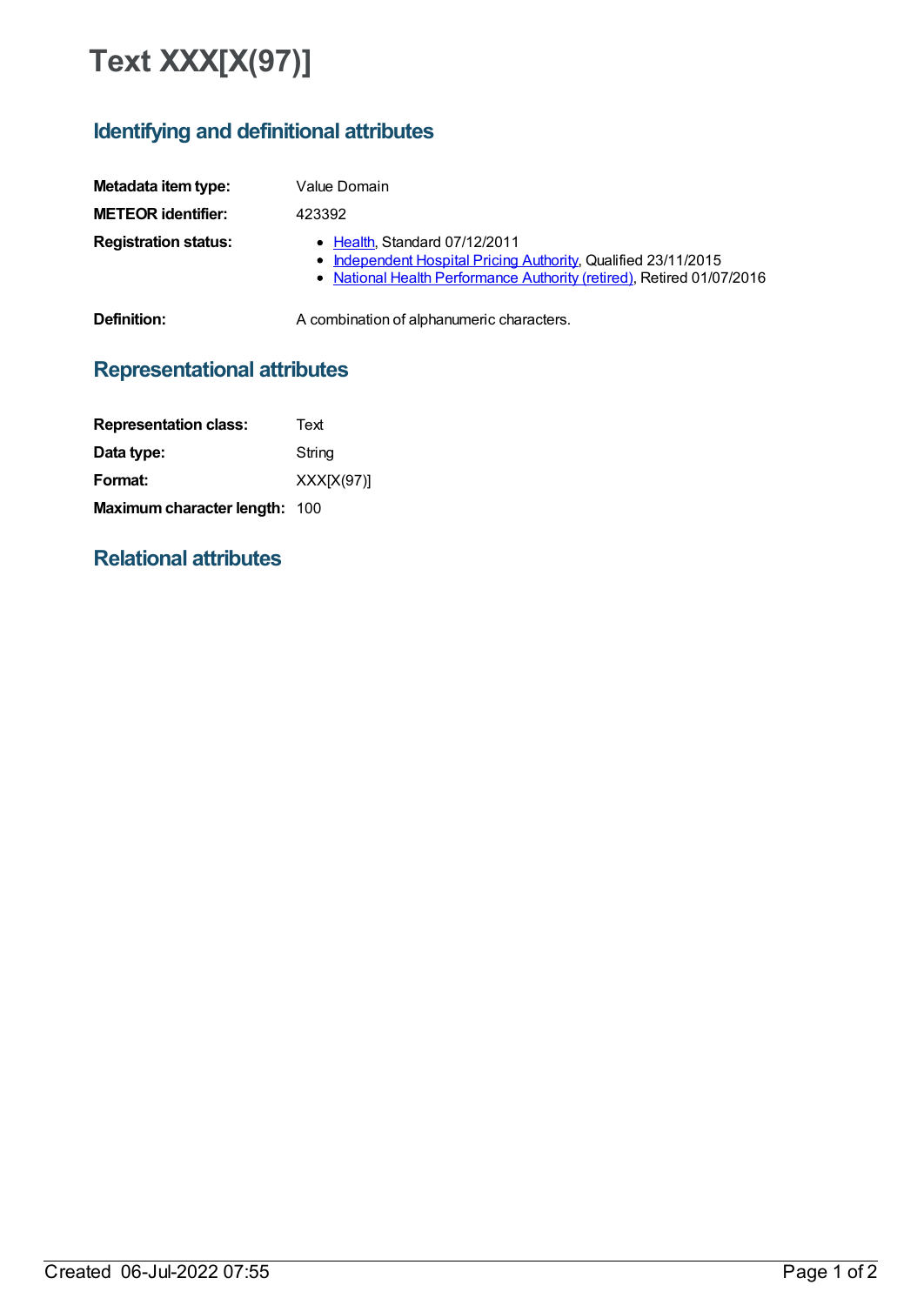# **Text XXX[X(97)]**

# **Identifying and definitional attributes**

| Metadata item type:         | Value Domain                                                                                                                                                             |
|-----------------------------|--------------------------------------------------------------------------------------------------------------------------------------------------------------------------|
| <b>METEOR identifier:</b>   | 423392                                                                                                                                                                   |
| <b>Registration status:</b> | • Health, Standard 07/12/2011<br>• Independent Hospital Pricing Authority, Qualified 23/11/2015<br>• National Health Performance Authority (retired), Retired 01/07/2016 |
| Definition:                 | A combination of alphanumeric characters.                                                                                                                                |

# **Representational attributes**

| <b>Representation class:</b>  | Text         |
|-------------------------------|--------------|
| Data type:                    | String       |
| Format:                       | $XXX[X(97)]$ |
| Maximum character length: 100 |              |

### **Relational attributes**